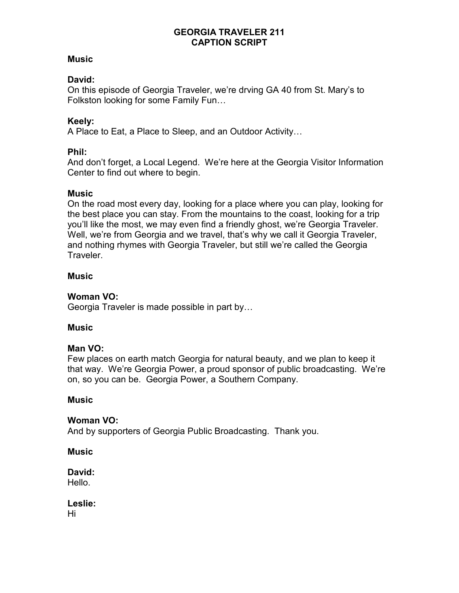### **Music**

### David:

On this episode of Georgia Traveler, we're drving GA 40 from St. Mary's to Folkston looking for some Family Fun…

### Keely:

A Place to Eat, a Place to Sleep, and an Outdoor Activity…

### Phil:

And don't forget, a Local Legend. We're here at the Georgia Visitor Information Center to find out where to begin.

#### **Music**

On the road most every day, looking for a place where you can play, looking for the best place you can stay. From the mountains to the coast, looking for a trip you'll like the most, we may even find a friendly ghost, we're Georgia Traveler. Well, we're from Georgia and we travel, that's why we call it Georgia Traveler, and nothing rhymes with Georgia Traveler, but still we're called the Georgia Traveler.

### **Music**

## Woman VO:

Georgia Traveler is made possible in part by…

#### **Music**

#### Man VO:

Few places on earth match Georgia for natural beauty, and we plan to keep it that way. We're Georgia Power, a proud sponsor of public broadcasting. We're on, so you can be. Georgia Power, a Southern Company.

#### **Music**

#### Woman VO:

And by supporters of Georgia Public Broadcasting. Thank you.

**Music** 

David: Hello.

Leslie: Hi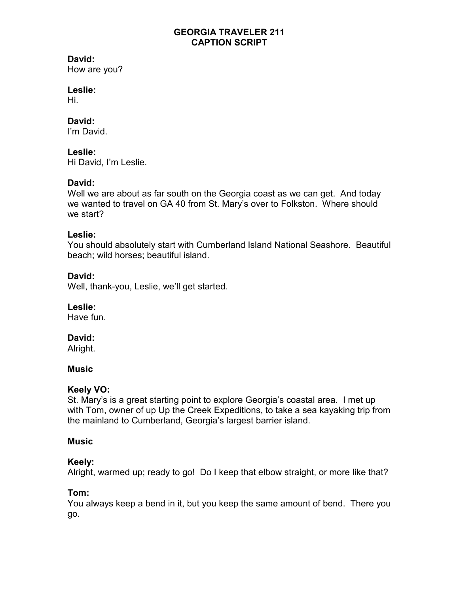# David:

How are you?

# Leslie:

Hi.

### David:

I'm David.

## Leslie:

Hi David, I'm Leslie.

# David:

Well we are about as far south on the Georgia coast as we can get. And today we wanted to travel on GA 40 from St. Mary's over to Folkston. Where should we start?

## Leslie:

You should absolutely start with Cumberland Island National Seashore. Beautiful beach; wild horses; beautiful island.

## David:

Well, thank-you, Leslie, we'll get started.

## Leslie:

Have fun.

## David:

Alright.

## **Music**

## Keely VO:

St. Mary's is a great starting point to explore Georgia's coastal area. I met up with Tom, owner of up Up the Creek Expeditions, to take a sea kayaking trip from the mainland to Cumberland, Georgia's largest barrier island.

## **Music**

## Keely:

Alright, warmed up; ready to go! Do I keep that elbow straight, or more like that?

## Tom:

You always keep a bend in it, but you keep the same amount of bend. There you go.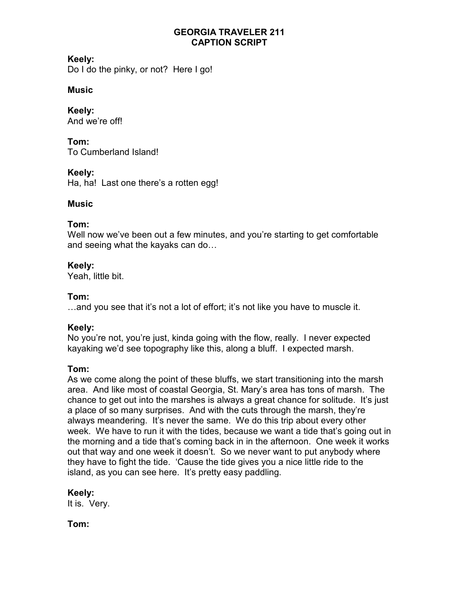## Keely:

Do I do the pinky, or not? Here I go!

## **Music**

Keely: And we're off!

Tom:

To Cumberland Island!

# Keely:

Ha, ha! Last one there's a rotten egg!

# **Music**

## Tom:

Well now we've been out a few minutes, and you're starting to get comfortable and seeing what the kayaks can do…

## Keely:

Yeah, little bit.

# Tom:

…and you see that it's not a lot of effort; it's not like you have to muscle it.

# Keely:

No you're not, you're just, kinda going with the flow, really. I never expected kayaking we'd see topography like this, along a bluff. I expected marsh.

# Tom:

As we come along the point of these bluffs, we start transitioning into the marsh area. And like most of coastal Georgia, St. Mary's area has tons of marsh. The chance to get out into the marshes is always a great chance for solitude. It's just a place of so many surprises. And with the cuts through the marsh, they're always meandering. It's never the same. We do this trip about every other week. We have to run it with the tides, because we want a tide that's going out in the morning and a tide that's coming back in in the afternoon. One week it works out that way and one week it doesn't. So we never want to put anybody where they have to fight the tide. 'Cause the tide gives you a nice little ride to the island, as you can see here. It's pretty easy paddling.

## Keely:

It is. Very.

Tom: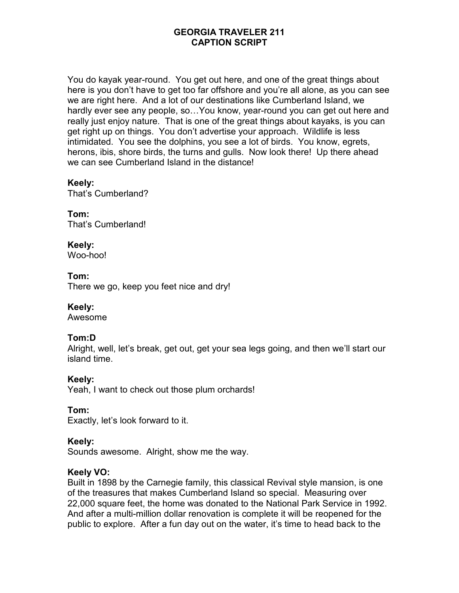You do kayak year-round. You get out here, and one of the great things about here is you don't have to get too far offshore and you're all alone, as you can see we are right here. And a lot of our destinations like Cumberland Island, we hardly ever see any people, so…You know, year-round you can get out here and really just enjoy nature. That is one of the great things about kayaks, is you can get right up on things. You don't advertise your approach. Wildlife is less intimidated. You see the dolphins, you see a lot of birds. You know, egrets, herons, ibis, shore birds, the turns and gulls. Now look there! Up there ahead we can see Cumberland Island in the distance!

### Keely:

That's Cumberland?

Tom: That's Cumberland!

# Keely:

Woo-hoo!

Tom:

There we go, keep you feet nice and dry!

#### Keely:

Awesome

## Tom:D

Alright, well, let's break, get out, get your sea legs going, and then we'll start our island time.

#### Keely:

Yeah, I want to check out those plum orchards!

#### Tom:

Exactly, let's look forward to it.

#### Keely:

Sounds awesome. Alright, show me the way.

#### Keely VO:

Built in 1898 by the Carnegie family, this classical Revival style mansion, is one of the treasures that makes Cumberland Island so special. Measuring over 22,000 square feet, the home was donated to the National Park Service in 1992. And after a multi-million dollar renovation is complete it will be reopened for the public to explore. After a fun day out on the water, it's time to head back to the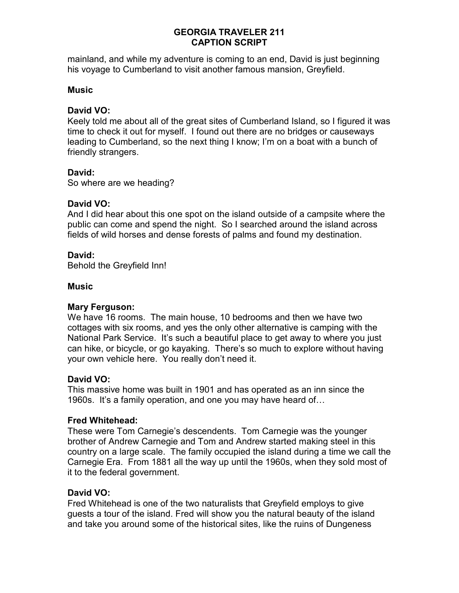mainland, and while my adventure is coming to an end, David is just beginning his voyage to Cumberland to visit another famous mansion, Greyfield.

#### **Music**

#### David VO:

Keely told me about all of the great sites of Cumberland Island, so I figured it was time to check it out for myself. I found out there are no bridges or causeways leading to Cumberland, so the next thing I know; I'm on a boat with a bunch of friendly strangers.

#### David:

So where are we heading?

#### David VO:

And I did hear about this one spot on the island outside of a campsite where the public can come and spend the night. So I searched around the island across fields of wild horses and dense forests of palms and found my destination.

### David:

Behold the Greyfield Inn!

#### **Music**

#### Mary Ferguson:

We have 16 rooms. The main house, 10 bedrooms and then we have two cottages with six rooms, and yes the only other alternative is camping with the National Park Service. It's such a beautiful place to get away to where you just can hike, or bicycle, or go kayaking. There's so much to explore without having your own vehicle here. You really don't need it.

#### David VO:

This massive home was built in 1901 and has operated as an inn since the 1960s. It's a family operation, and one you may have heard of…

#### Fred Whitehead:

These were Tom Carnegie's descendents. Tom Carnegie was the younger brother of Andrew Carnegie and Tom and Andrew started making steel in this country on a large scale. The family occupied the island during a time we call the Carnegie Era. From 1881 all the way up until the 1960s, when they sold most of it to the federal government.

## David VO:

Fred Whitehead is one of the two naturalists that Greyfield employs to give guests a tour of the island. Fred will show you the natural beauty of the island and take you around some of the historical sites, like the ruins of Dungeness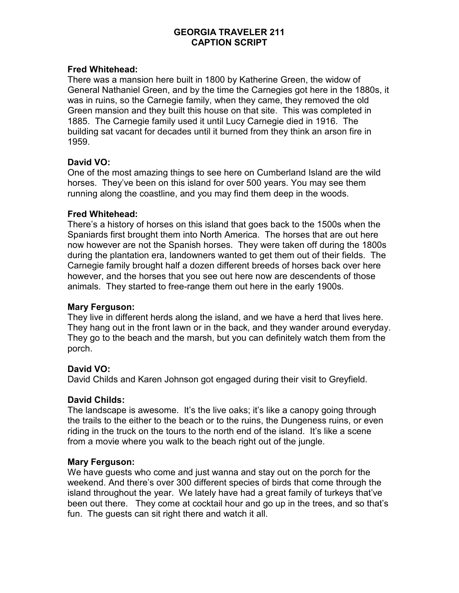#### Fred Whitehead:

There was a mansion here built in 1800 by Katherine Green, the widow of General Nathaniel Green, and by the time the Carnegies got here in the 1880s, it was in ruins, so the Carnegie family, when they came, they removed the old Green mansion and they built this house on that site. This was completed in 1885. The Carnegie family used it until Lucy Carnegie died in 1916. The building sat vacant for decades until it burned from they think an arson fire in 1959.

#### David VO:

One of the most amazing things to see here on Cumberland Island are the wild horses. They've been on this island for over 500 years. You may see them running along the coastline, and you may find them deep in the woods.

#### Fred Whitehead:

There's a history of horses on this island that goes back to the 1500s when the Spaniards first brought them into North America. The horses that are out here now however are not the Spanish horses. They were taken off during the 1800s during the plantation era, landowners wanted to get them out of their fields. The Carnegie family brought half a dozen different breeds of horses back over here however, and the horses that you see out here now are descendents of those animals. They started to free-range them out here in the early 1900s.

#### Mary Ferguson:

They live in different herds along the island, and we have a herd that lives here. They hang out in the front lawn or in the back, and they wander around everyday. They go to the beach and the marsh, but you can definitely watch them from the porch.

#### David VO:

David Childs and Karen Johnson got engaged during their visit to Greyfield.

#### David Childs:

The landscape is awesome. It's the live oaks; it's like a canopy going through the trails to the either to the beach or to the ruins, the Dungeness ruins, or even riding in the truck on the tours to the north end of the island. It's like a scene from a movie where you walk to the beach right out of the jungle.

#### Mary Ferguson:

We have guests who come and just wanna and stay out on the porch for the weekend. And there's over 300 different species of birds that come through the island throughout the year. We lately have had a great family of turkeys that've been out there. They come at cocktail hour and go up in the trees, and so that's fun. The guests can sit right there and watch it all.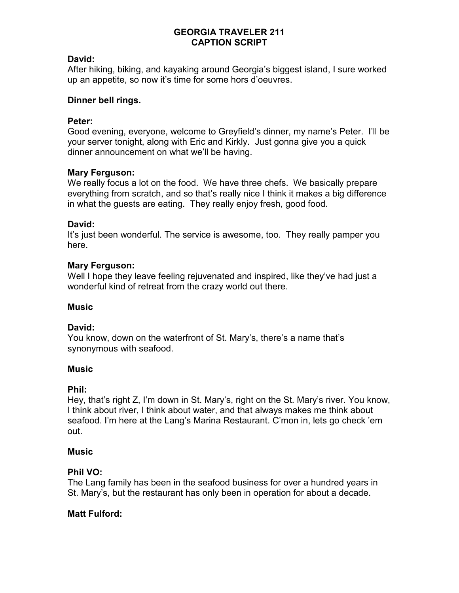#### David:

After hiking, biking, and kayaking around Georgia's biggest island, I sure worked up an appetite, so now it's time for some hors d'oeuvres.

#### Dinner bell rings.

#### Peter:

Good evening, everyone, welcome to Greyfield's dinner, my name's Peter. I'll be your server tonight, along with Eric and Kirkly. Just gonna give you a quick dinner announcement on what we'll be having.

#### Mary Ferguson:

We really focus a lot on the food. We have three chefs. We basically prepare everything from scratch, and so that's really nice I think it makes a big difference in what the guests are eating. They really enjoy fresh, good food.

#### David:

It's just been wonderful. The service is awesome, too. They really pamper you here.

#### Mary Ferguson:

Well I hope they leave feeling rejuvenated and inspired, like they've had just a wonderful kind of retreat from the crazy world out there.

#### **Music**

#### David:

You know, down on the waterfront of St. Mary's, there's a name that's synonymous with seafood.

#### Music

#### Phil:

Hey, that's right Z, I'm down in St. Mary's, right on the St. Mary's river. You know, I think about river, I think about water, and that always makes me think about seafood. I'm here at the Lang's Marina Restaurant. C'mon in, lets go check 'em out.

#### **Music**

#### Phil VO:

The Lang family has been in the seafood business for over a hundred years in St. Mary's, but the restaurant has only been in operation for about a decade.

#### Matt Fulford: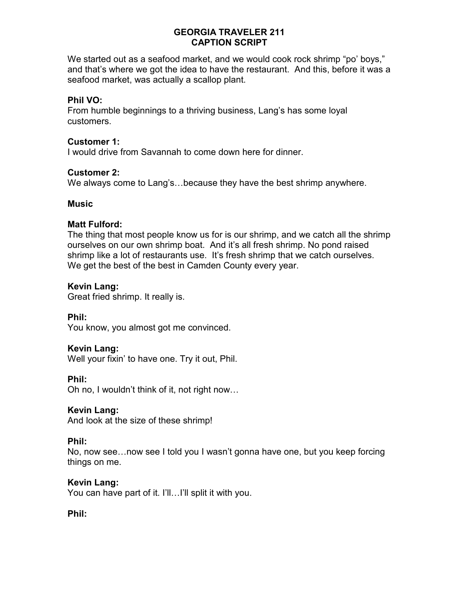We started out as a seafood market, and we would cook rock shrimp "po' boys," and that's where we got the idea to have the restaurant. And this, before it was a seafood market, was actually a scallop plant.

### Phil VO:

From humble beginnings to a thriving business, Lang's has some loyal customers.

#### Customer 1:

I would drive from Savannah to come down here for dinner.

#### Customer 2:

We always come to Lang's…because they have the best shrimp anywhere.

#### **Music**

#### Matt Fulford:

The thing that most people know us for is our shrimp, and we catch all the shrimp ourselves on our own shrimp boat. And it's all fresh shrimp. No pond raised shrimp like a lot of restaurants use. It's fresh shrimp that we catch ourselves. We get the best of the best in Camden County every year.

#### Kevin Lang:

Great fried shrimp. It really is.

Phil: You know, you almost got me convinced.

#### Kevin Lang:

Well your fixin' to have one. Try it out, Phil.

Phil:

Oh no, I wouldn't think of it, not right now…

#### Kevin Lang:

And look at the size of these shrimp!

#### Phil:

No, now see…now see I told you I wasn't gonna have one, but you keep forcing things on me.

#### Kevin Lang:

You can have part of it. I'll…I'll split it with you.

#### Phil: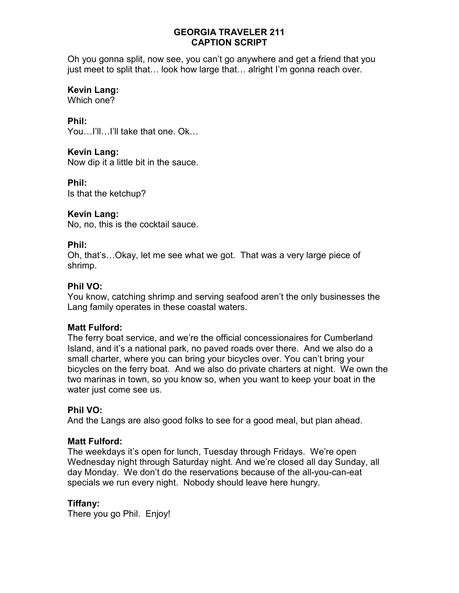Oh you gonna split, now see, you can't go anywhere and get a friend that you just meet to split that… look how large that… alright I'm gonna reach over.

### Kevin Lang:

Which one?

### Phil:

You...I'll...I'll take that one. Ok...

### Kevin Lang:

Now dip it a little bit in the sauce.

### Phil:

Is that the ketchup?

#### Kevin Lang:

No, no, this is the cocktail sauce.

### Phil:

Oh, that's…Okay, let me see what we got. That was a very large piece of shrimp.

#### Phil VO:

You know, catching shrimp and serving seafood aren't the only businesses the Lang family operates in these coastal waters.

#### Matt Fulford:

The ferry boat service, and we're the official concessionaires for Cumberland Island, and it's a national park, no paved roads over there. And we also do a small charter, where you can bring your bicycles over. You can't bring your bicycles on the ferry boat. And we also do private charters at night. We own the two marinas in town, so you know so, when you want to keep your boat in the water just come see us.

#### Phil VO:

And the Langs are also good folks to see for a good meal, but plan ahead.

#### Matt Fulford:

The weekdays it's open for lunch, Tuesday through Fridays. We're open Wednesday night through Saturday night. And we're closed all day Sunday, all day Monday. We don't do the reservations because of the all-you-can-eat specials we run every night. Nobody should leave here hungry.

## Tiffany:

There you go Phil. Enjoy!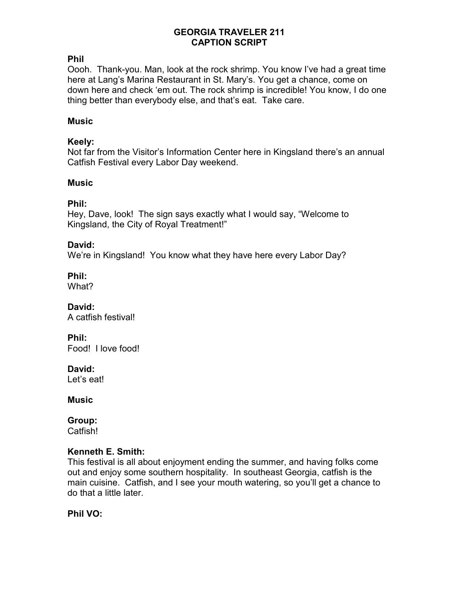### Phil

Oooh. Thank-you. Man, look at the rock shrimp. You know I've had a great time here at Lang's Marina Restaurant in St. Mary's. You get a chance, come on down here and check 'em out. The rock shrimp is incredible! You know, I do one thing better than everybody else, and that's eat. Take care.

### **Music**

### Keely:

Not far from the Visitor's Information Center here in Kingsland there's an annual Catfish Festival every Labor Day weekend.

### **Music**

### Phil:

Hey, Dave, look! The sign says exactly what I would say, "Welcome to Kingsland, the City of Royal Treatment!"

### David:

We're in Kingsland! You know what they have here every Labor Day?

Phil:

What?

David: A catfish festival!

Phil:

Food! I love food!

David:

Let's eat!

**Music** 

Group:

Catfish!

#### Kenneth E. Smith:

This festival is all about enjoyment ending the summer, and having folks come out and enjoy some southern hospitality. In southeast Georgia, catfish is the main cuisine. Catfish, and I see your mouth watering, so you'll get a chance to do that a little later.

Phil VO: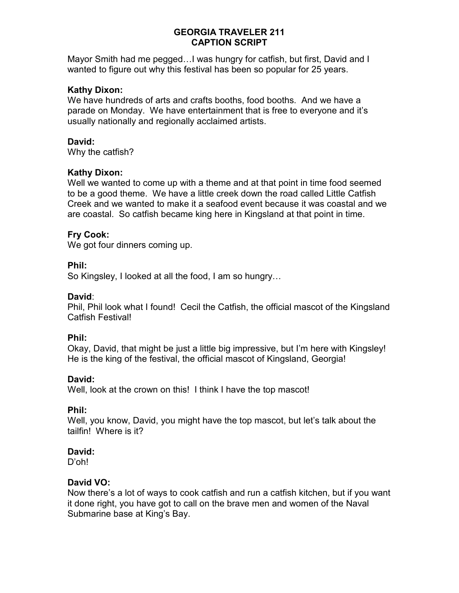Mayor Smith had me pegged…I was hungry for catfish, but first, David and I wanted to figure out why this festival has been so popular for 25 years.

#### Kathy Dixon:

We have hundreds of arts and crafts booths, food booths. And we have a parade on Monday. We have entertainment that is free to everyone and it's usually nationally and regionally acclaimed artists.

#### David:

Why the catfish?

### Kathy Dixon:

Well we wanted to come up with a theme and at that point in time food seemed to be a good theme. We have a little creek down the road called Little Catfish Creek and we wanted to make it a seafood event because it was coastal and we are coastal. So catfish became king here in Kingsland at that point in time.

### Fry Cook:

We got four dinners coming up.

#### Phil:

So Kingsley, I looked at all the food, I am so hungry…

#### David:

Phil, Phil look what I found! Cecil the Catfish, the official mascot of the Kingsland Catfish Festival!

#### Phil:

Okay, David, that might be just a little big impressive, but I'm here with Kingsley! He is the king of the festival, the official mascot of Kingsland, Georgia!

#### David:

Well, look at the crown on this! I think I have the top mascot!

#### Phil:

Well, you know, David, you might have the top mascot, but let's talk about the tailfin! Where is it?

### David:

D'oh!

#### David VO:

Now there's a lot of ways to cook catfish and run a catfish kitchen, but if you want it done right, you have got to call on the brave men and women of the Naval Submarine base at King's Bay.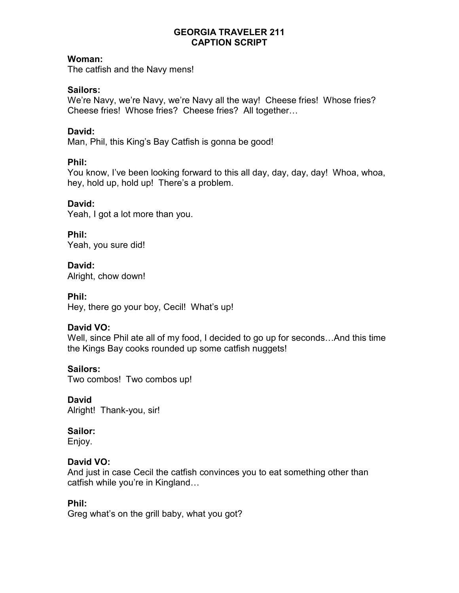### Woman:

The catfish and the Navy mens!

### Sailors:

We're Navy, we're Navy, we're Navy all the way! Cheese fries! Whose fries? Cheese fries! Whose fries? Cheese fries? All together…

### David:

Man, Phil, this King's Bay Catfish is gonna be good!

### Phil:

You know, I've been looking forward to this all day, day, day, day! Whoa, whoa, hey, hold up, hold up! There's a problem.

### David:

Yeah, I got a lot more than you.

## Phil:

Yeah, you sure did!

### David:

Alright, chow down!

### Phil:

Hey, there go your boy, Cecil! What's up!

## David VO:

Well, since Phil ate all of my food, I decided to go up for seconds…And this time the Kings Bay cooks rounded up some catfish nuggets!

## Sailors:

Two combos! Two combos up!

# David

Alright! Thank-you, sir!

## Sailor:

Enjoy.

## David VO:

And just in case Cecil the catfish convinces you to eat something other than catfish while you're in Kingland…

## Phil:

Greg what's on the grill baby, what you got?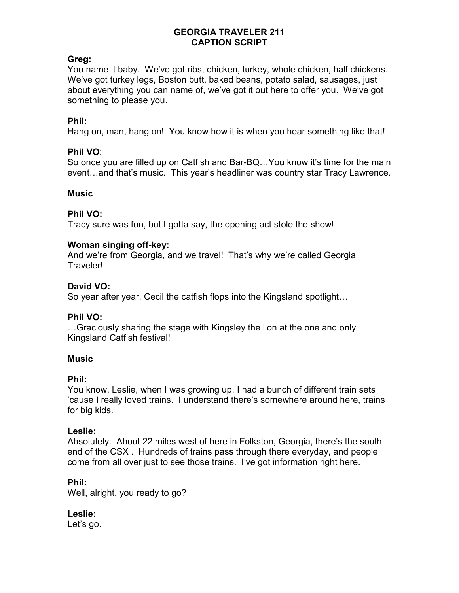### Greg:

You name it baby. We've got ribs, chicken, turkey, whole chicken, half chickens. We've got turkey legs, Boston butt, baked beans, potato salad, sausages, just about everything you can name of, we've got it out here to offer you. We've got something to please you.

### Phil:

Hang on, man, hang on! You know how it is when you hear something like that!

### Phil VO:

So once you are filled up on Catfish and Bar-BQ…You know it's time for the main event…and that's music. This year's headliner was country star Tracy Lawrence.

#### **Music**

### Phil VO:

Tracy sure was fun, but I gotta say, the opening act stole the show!

### Woman singing off-key:

And we're from Georgia, and we travel! That's why we're called Georgia Traveler!

### David VO:

So year after year, Cecil the catfish flops into the Kingsland spotlight…

#### Phil VO:

…Graciously sharing the stage with Kingsley the lion at the one and only Kingsland Catfish festival!

#### **Music**

#### Phil:

You know, Leslie, when I was growing up, I had a bunch of different train sets 'cause I really loved trains. I understand there's somewhere around here, trains for big kids.

#### Leslie:

Absolutely. About 22 miles west of here in Folkston, Georgia, there's the south end of the CSX . Hundreds of trains pass through there everyday, and people come from all over just to see those trains. I've got information right here.

## Phil:

Well, alright, you ready to go?

# Leslie:

Let's go.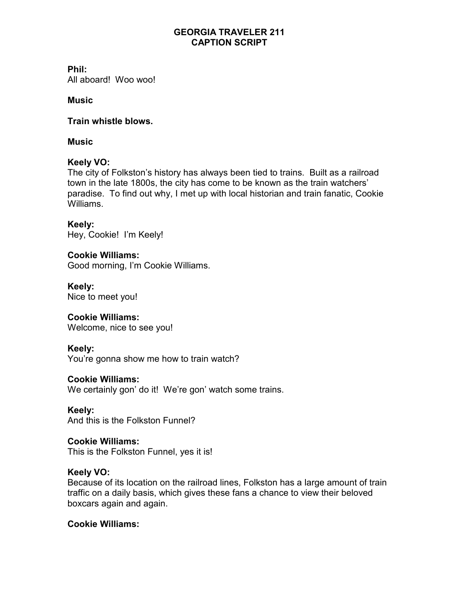Phil:

All aboard! Woo woo!

## **Music**

### Train whistle blows.

### **Music**

## Keely VO:

The city of Folkston's history has always been tied to trains. Built as a railroad town in the late 1800s, the city has come to be known as the train watchers' paradise. To find out why, I met up with local historian and train fanatic, Cookie Williams.

Keely: Hey, Cookie! I'm Keely!

Cookie Williams: Good morning, I'm Cookie Williams.

Keely: Nice to meet you!

## Cookie Williams:

Welcome, nice to see you!

## Keely:

You're gonna show me how to train watch?

## Cookie Williams:

We certainly gon' do it! We're gon' watch some trains.

Keely: And this is the Folkston Funnel?

#### Cookie Williams: This is the Folkston Funnel, yes it is!

## Keely VO:

Because of its location on the railroad lines, Folkston has a large amount of train traffic on a daily basis, which gives these fans a chance to view their beloved boxcars again and again.

## Cookie Williams: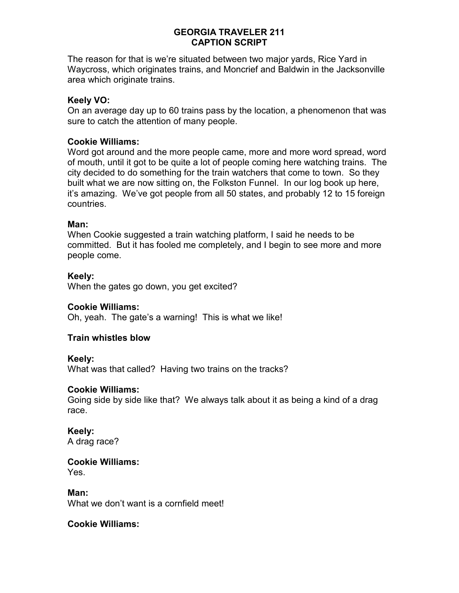The reason for that is we're situated between two major yards, Rice Yard in Waycross, which originates trains, and Moncrief and Baldwin in the Jacksonville area which originate trains.

### Keely VO:

On an average day up to 60 trains pass by the location, a phenomenon that was sure to catch the attention of many people.

### Cookie Williams:

Word got around and the more people came, more and more word spread, word of mouth, until it got to be quite a lot of people coming here watching trains. The city decided to do something for the train watchers that come to town. So they built what we are now sitting on, the Folkston Funnel. In our log book up here, it's amazing. We've got people from all 50 states, and probably 12 to 15 foreign countries.

#### Man:

When Cookie suggested a train watching platform, I said he needs to be committed. But it has fooled me completely, and I begin to see more and more people come.

#### Keely:

When the gates go down, you get excited?

#### Cookie Williams:

Oh, yeah. The gate's a warning! This is what we like!

#### Train whistles blow

#### Keely:

What was that called? Having two trains on the tracks?

#### Cookie Williams:

Going side by side like that? We always talk about it as being a kind of a drag race.

#### Keely:

A drag race?

#### Cookie Williams: Yes.

Man: What we don't want is a cornfield meet!

#### Cookie Williams: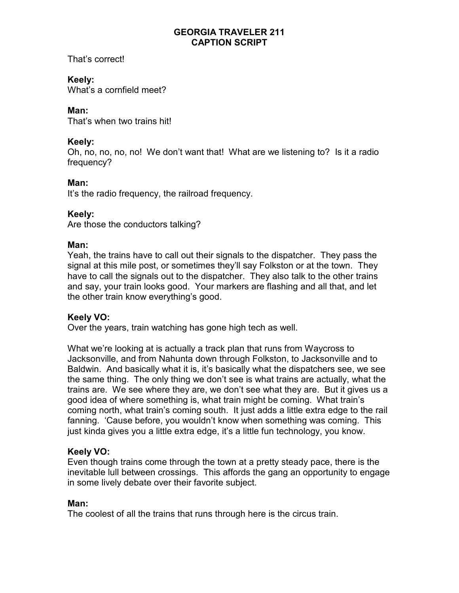That's correct!

# Keely:

What's a cornfield meet?

# Man:

That's when two trains hit!

## Keely:

Oh, no, no, no, no! We don't want that! What are we listening to? Is it a radio frequency?

# Man:

It's the radio frequency, the railroad frequency.

## Keely:

Are those the conductors talking?

## Man:

Yeah, the trains have to call out their signals to the dispatcher. They pass the signal at this mile post, or sometimes they'll say Folkston or at the town. They have to call the signals out to the dispatcher. They also talk to the other trains and say, your train looks good. Your markers are flashing and all that, and let the other train know everything's good.

## Keely VO:

Over the years, train watching has gone high tech as well.

What we're looking at is actually a track plan that runs from Waycross to Jacksonville, and from Nahunta down through Folkston, to Jacksonville and to Baldwin. And basically what it is, it's basically what the dispatchers see, we see the same thing. The only thing we don't see is what trains are actually, what the trains are. We see where they are, we don't see what they are. But it gives us a good idea of where something is, what train might be coming. What train's coming north, what train's coming south. It just adds a little extra edge to the rail fanning. 'Cause before, you wouldn't know when something was coming. This just kinda gives you a little extra edge, it's a little fun technology, you know.

## Keely VO:

Even though trains come through the town at a pretty steady pace, there is the inevitable lull between crossings. This affords the gang an opportunity to engage in some lively debate over their favorite subject.

## Man:

The coolest of all the trains that runs through here is the circus train.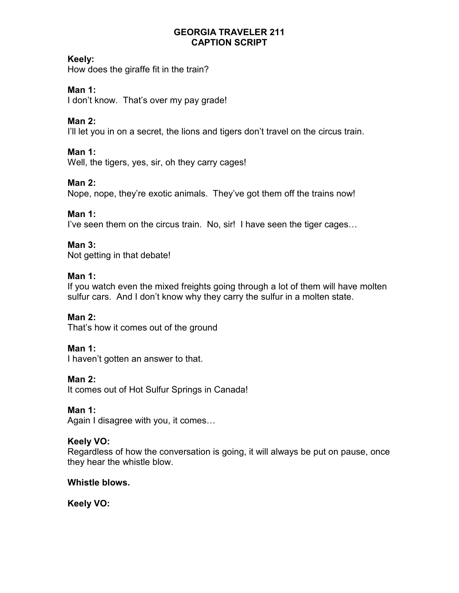## Keely:

How does the giraffe fit in the train?

# Man 1:

I don't know. That's over my pay grade!

# Man 2:

I'll let you in on a secret, the lions and tigers don't travel on the circus train.

# Man 1:

Well, the tigers, yes, sir, oh they carry cages!

# Man 2:

Nope, nope, they're exotic animals. They've got them off the trains now!

## Man 1:

I've seen them on the circus train. No, sir! I have seen the tiger cages…

# Man 3:

Not getting in that debate!

## Man 1:

If you watch even the mixed freights going through a lot of them will have molten sulfur cars. And I don't know why they carry the sulfur in a molten state.

## Man 2:

That's how it comes out of the ground

## Man 1:

I haven't gotten an answer to that.

## Man 2:

It comes out of Hot Sulfur Springs in Canada!

## Man 1:

Again I disagree with you, it comes…

## Keely VO:

Regardless of how the conversation is going, it will always be put on pause, once they hear the whistle blow.

## Whistle blows.

Keely VO: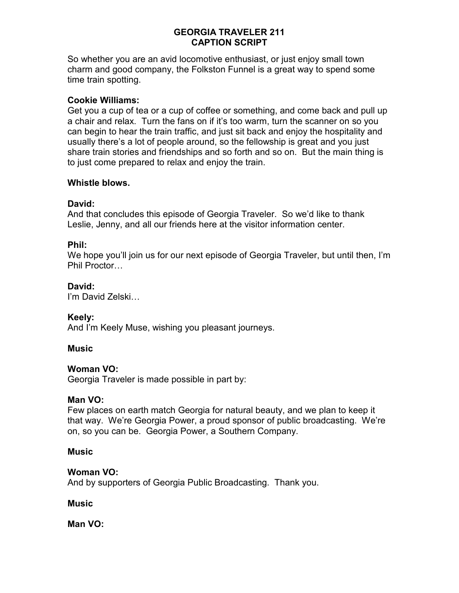So whether you are an avid locomotive enthusiast, or just enjoy small town charm and good company, the Folkston Funnel is a great way to spend some time train spotting.

### Cookie Williams:

Get you a cup of tea or a cup of coffee or something, and come back and pull up a chair and relax. Turn the fans on if it's too warm, turn the scanner on so you can begin to hear the train traffic, and just sit back and enjoy the hospitality and usually there's a lot of people around, so the fellowship is great and you just share train stories and friendships and so forth and so on. But the main thing is to just come prepared to relax and enjoy the train.

### Whistle blows.

### David:

And that concludes this episode of Georgia Traveler. So we'd like to thank Leslie, Jenny, and all our friends here at the visitor information center.

## Phil:

We hope you'll join us for our next episode of Georgia Traveler, but until then, I'm Phil Proctor…

### David:

I'm David Zelski…

#### Keely:

And I'm Keely Muse, wishing you pleasant journeys.

#### Music

#### Woman VO:

Georgia Traveler is made possible in part by:

#### Man VO:

Few places on earth match Georgia for natural beauty, and we plan to keep it that way. We're Georgia Power, a proud sponsor of public broadcasting. We're on, so you can be. Georgia Power, a Southern Company.

#### **Music**

#### Woman VO:

And by supporters of Georgia Public Broadcasting. Thank you.

#### **Music**

Man VO: